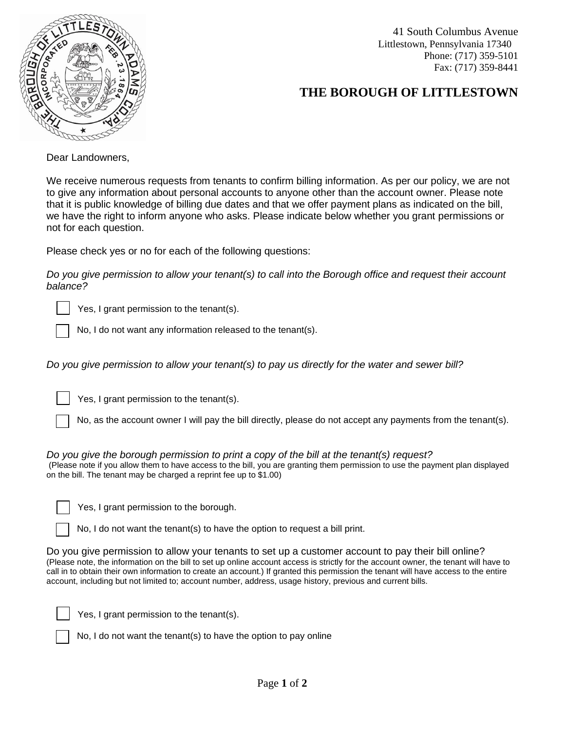

41 South Columbus Avenue Littlestown, Pennsylvania 17340 Phone: (717) 359-5101 Fax: (717) 359-8441

## **THE BOROUGH OF LITTLESTOWN**

Dear Landowners,

We receive numerous requests from tenants to confirm billing information. As per our policy, we are not to give any information about personal accounts to anyone other than the account owner. Please note that it is public knowledge of billing due dates and that we offer payment plans as indicated on the bill, we have the right to inform anyone who asks. Please indicate below whether you grant permissions or not for each question.

Please check yes or no for each of the following questions:

*Do you give permission to allow your tenant(s) to call into the Borough office and request their account balance?*

Yes, I grant permission to the tenant(s).

No, I do not want any information released to the tenant(s).

*Do you give permission to allow your tenant(s) to pay us directly for the water and sewer bill?*

Yes, I grant permission to the tenant(s).

No, as the account owner I will pay the bill directly, please do not accept any payments from the tenant(s).

*Do you give the borough permission to print a copy of the bill at the tenant(s) request?* (Please note if you allow them to have access to the bill, you are granting them permission to use the payment plan displayed on the bill. The tenant may be charged a reprint fee up to \$1.00)

Yes, I grant permission to the borough.

No, I do not want the tenant(s) to have the option to request a bill print.

Do you give permission to allow your tenants to set up a customer account to pay their bill online? (Please note, the information on the bill to set up online account access is strictly for the account owner, the tenant will have to call in to obtain their own information to create an account.) If granted this permission the tenant will have access to the entire account, including but not limited to; account number, address, usage history, previous and current bills.

Yes, I grant permission to the tenant(s).

No, I do not want the tenant(s) to have the option to pay online